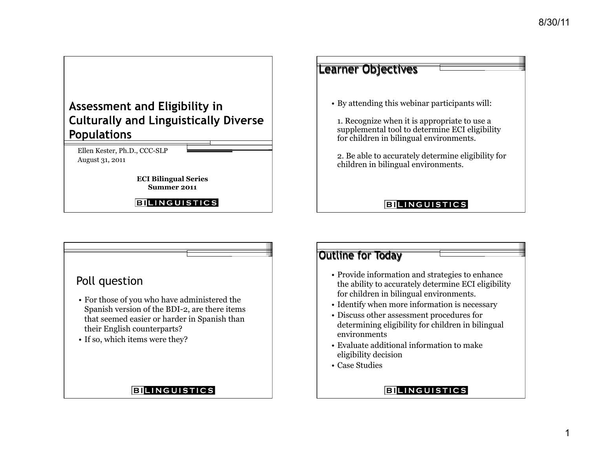# Assessment and Eligibility in **Culturally and Linguistically Diverse Populations**

Ellen Kester, Ph.D., CCC-SLP August 31, 2011

> **ECI Bilingual Series Summer 2011**

**BILINGUISTICS** 

# Learner Objectives • By attending this webinar participants will: 1. Recognize when it is appropriate to use a supplemental tool to determine ECI eligibility for children in bilingual environments. 2. Be able to accurately determine eligibility for children in bilingual environments.

#### **BILINGUISTICS**



### **BILINGUISTICS**

## Outline for Today

- Provide information and strategies to enhance the ability to accurately determine ECI eligibility for children in bilingual environments.
- Identify when more information is necessary
- Discuss other assessment procedures for determining eligibility for children in bilingual environments
- Evaluate additional information to make eligibility decision
- Case Studies

**BILINGUISTICS**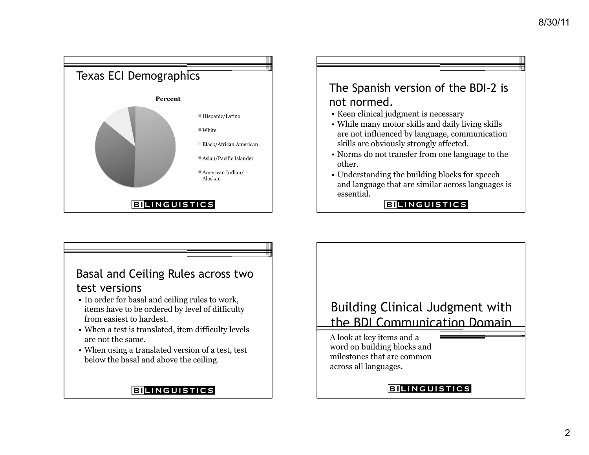

Basal and Ceiling Rules across two test versions

- In order for basal and ceiling rules to work, items have to be ordered by level of difficulty from easiest to hardest.
- When a test is translated, item difficulty levels are not the same.
- When using a translated version of a test, test below the basal and above the ceiling.

### **BILINGUISTICS**

# **Building Clinical Judgment with** the BDI Communication Domain

A look at key items and a word on building blocks and milestones that are common across all languages.

#### **BILINGUISTICS**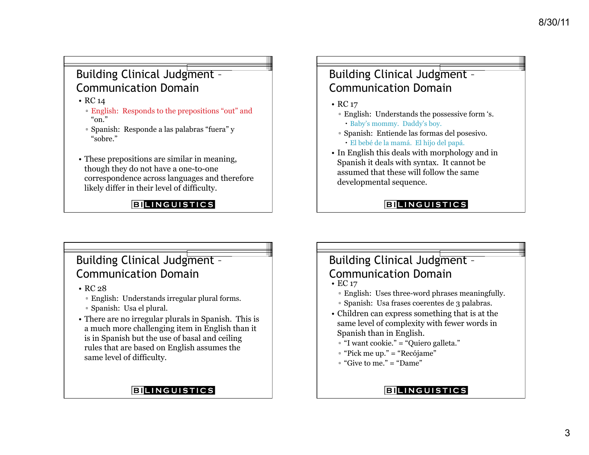## Building Clinical Judgment -Communication Domain

- RC 14
	- English: Responds to the prepositions "out" and "on."
	- Spanish: Responde a las palabras "fuera" y "sobre."
- These prepositions are similar in meaning, though they do not have a one-to-one correspondence across languages and therefore likely differ in their level of difficulty.

### **BILINGUISTICS**

## Building Clinical Judgment -Communication Domain

• RC 17

- English: Understands the possessive form 's. Baby's mommy. Daddy's boy.
- Spanish: Entiende las formas del posesivo. El bebé de la mamá. El hijo del papá.
- In English this deals with morphology and in Spanish it deals with syntax. It cannot be assumed that these will follow the same developmental sequence.

### **BILINGUISTICS**

## Building Clinical Judgment – Communication Domain

- RC 28
	- English: Understands irregular plural forms.
	- Spanish: Usa el plural.
- There are no irregular plurals in Spanish. This is a much more challenging item in English than it is in Spanish but the use of basal and ceiling rules that are based on English assumes the same level of difficulty.

## **BILINGUISTICS**

# Building Clinical Judgment – Communication Domain

- EC 17
	- English: Uses three-word phrases meaningfully.
	- Spanish: Usa frases coerentes de 3 palabras.
- Children can express something that is at the same level of complexity with fewer words in Spanish than in English.
- "I want cookie." = "Quiero galleta."
- "Pick me up." = "Recójame"
- $\degree$  "Give to me." = "Dame"

**BILINGUISTICS**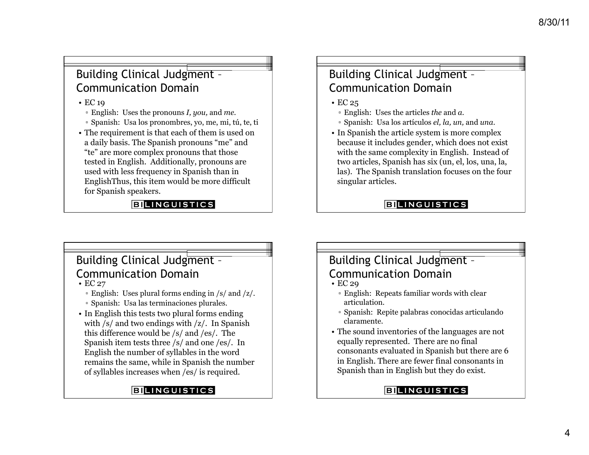## Building Clinical Judgment -Communication Domain

• EC 19

▫ English: Uses the pronouns *I, you,* and *me.* 

- Spanish: Usa los pronombres, yo, me, mi, tú, te, ti
- The requirement is that each of them is used on a daily basis. The Spanish pronouns "me" and "te" are more complex pronouns that those tested in English. Additionally, pronouns are used with less frequency in Spanish than in EnglishThus, this item would be more difficult for Spanish speakers.

#### **BILINGUISTICS**

## Building Clinical Judgment -Communication Domain

• EC 25

- English: Uses the articles *the* and *a.*
- Spanish: Usa los artículos *el, la, un,* and *una*.
- In Spanish the article system is more complex because it includes gender, which does not exist with the same complexity in English. Instead of two articles, Spanish has six (un, el, los, una, la, las). The Spanish translation focuses on the four singular articles.

#### **BILINGUISTICS**

# Building Clinical Judgment – Communication Domain

- EC 27
	- English: Uses plural forms ending in /s/ and /z/.
	- Spanish: Usa las terminaciones plurales.
- In English this tests two plural forms ending with /s/ and two endings with /z/. In Spanish this difference would be /s/ and /es/. The Spanish item tests three /s/ and one /es/. In English the number of syllables in the word remains the same, while in Spanish the number of syllables increases when /es/ is required.

### **BILINGUISTICS**

# Building Clinical Judgment – Communication Domain

- EC 29
	- English: Repeats familiar words with clear articulation.
	- Spanish: Repite palabras conocidas articulando claramente.
- The sound inventories of the languages are not equally represented. There are no final consonants evaluated in Spanish but there are 6 in English. There are fewer final consonants in Spanish than in English but they do exist.

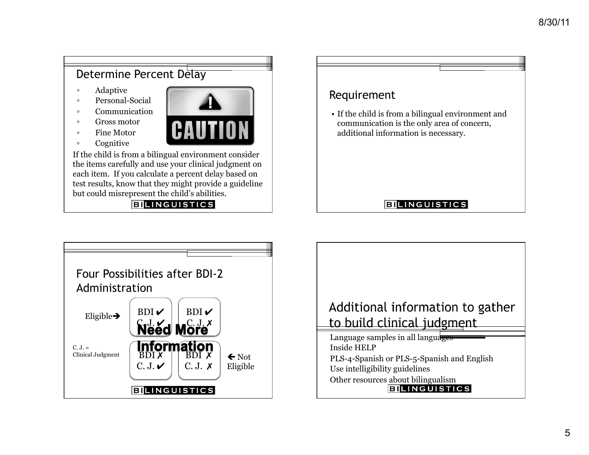### Determine Percent Delay ▫ Adaptive Requirement ▫ Personal-Social ▫ Communication • If the child is from a bilingual environment and ▫ Gross motor communication is the only area of concern, **CAUTION** ▫ Fine Motor additional information is necessary. ▫ Cognitive If the child is from a bilingual environment consider the items carefully and use your clinical judgment on each item. If you calculate a percent delay based on test results, know that they might provide a guideline but could misrepresent the child's abilities. **BILINGUISTICS BILINGUISTICS**



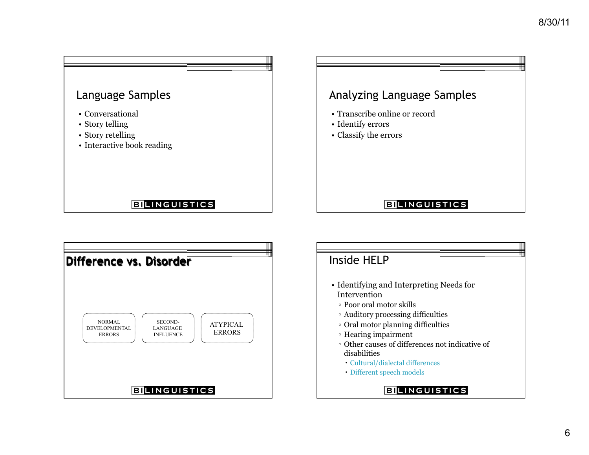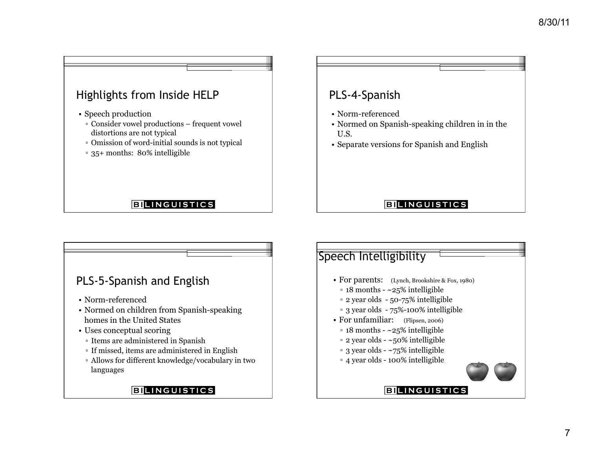# Highlights from Inside HELP

- Speech production
	- Consider vowel productions frequent vowel distortions are not typical
	- Omission of word-initial sounds is not typical
	- 35+ months: 80% intelligible

#### **BILINGUISTICS**

## PLS-4-Spanish

- Norm-referenced
- Normed on Spanish-speaking children in in the U.S.
- Separate versions for Spanish and English

#### **BILINGUISTICS**

**BILINGUISTICS** 

### PLS-5-Spanish and English

- Norm-referenced
- Normed on children from Spanish-speaking homes in the United States
- Uses conceptual scoring
	- Items are administered in Spanish
	- If missed, items are administered in English
	- Allows for different knowledge/vocabulary in two languages

#### **BILINGUISTICS**

## Speech Intelligibility

- For parents: (Lynch, Brookshire & Fox, 1980)
	- $\approx$  18 months  $\sim$  25% intelligible
	- 2 year olds 50-75% intelligible
	- 3 year olds 75%-100% intelligible
- For unfamiliar: (Flipsen, 2006)
	- $\approx$  18 months  $\sim$  25% intelligible
- $\approx$  2 year olds ~50% intelligible
- $\cdot$  3 year olds  $\sim$ 75% intelligible
- 4 year olds 100% intelligible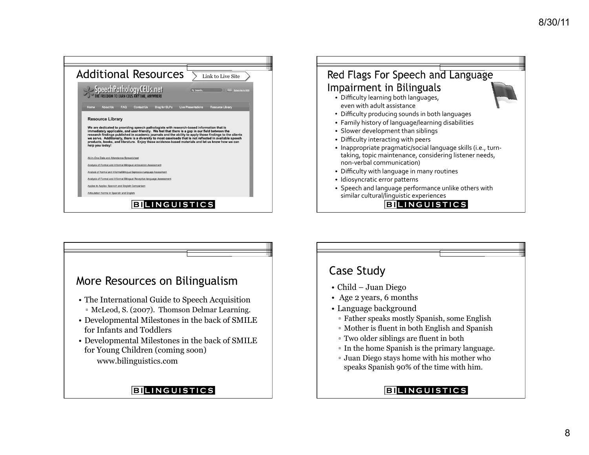



# More Resources on Bilingualism • The International Guide to Speech Acquisition ▫ McLeod, S. (2007). Thomson Delmar Learning. • Developmental Milestones in the back of SMILE for Infants and Toddlers • Developmental Milestones in the back of SMILE for Young Children (coming soon) www.bilinguistics.com **BILINGUISTICS**

## Case Study

- Child Juan Diego
- Age 2 years, 6 months
- Language background
	- Father speaks mostly Spanish, some English
	- Mother is fluent in both English and Spanish
	- Two older siblings are fluent in both
	- In the home Spanish is the primary language.
	- Juan Diego stays home with his mother who speaks Spanish 90% of the time with him.

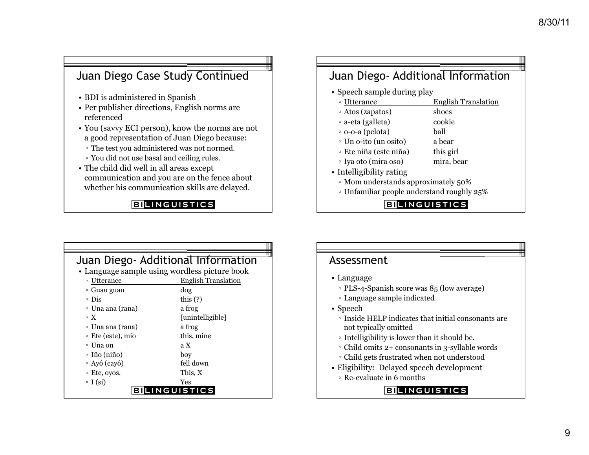## Juan Diego Case Study Continued

- BDI is administered in Spanish
- Per publisher directions, English norms are referenced
- You (savvy ECI person), know the norms are not a good representation of Juan Diego because:
	- The test you administered was not normed.
	- You did not use basal and ceiling rules.
- The child did well in all areas except communication and you are on the fence about whether his communication skills are delayed.

#### **BILINGUISTICS**

### Juan Diego- Additional Information

- Speech sample during play
	- Utterance English Translation
	- Atos (zapatos) shoes
	- a-eta (galleta) cookie
	- o-o-a (pelota) ball
	- Un o-ito (un osito) a bear
	- Ete niña (este niña) this girl
	- Iya oto (mira oso) mira, bear
		-
- Intelligibility rating
- Mom understands approximately 50%
- Unfamiliar people understand roughly 25%

**BILINGUISTICS** 

| Juan Diego- Additional Information            |                            |
|-----------------------------------------------|----------------------------|
| • Language sample using wordless picture book |                            |
| Utterance<br>$\Box$                           | <b>English Translation</b> |
| □ Guau guau                                   | dog                        |
| ∘ Dis                                         | this $(?)$                 |
| □ Una ana (rana)                              | a frog                     |
| $\mathbf{X}$                                  | [unintelligible]           |
| □ Una ana (rana)                              | a frog                     |
| □ Ete (este), mio                             | this, mine                 |
| □ Una on                                      | a X                        |
| □ Iño (niño)                                  | boy                        |
| $\Delta$ Ayó (cayó)                           | fell down                  |
| □ Ete, oyos.                                  | This, X                    |
| $\overline{\phantom{a}}$ I (si)               | Yes                        |
| <b>NGUISTICS</b>                              |                            |

### Assessment • Language ▫ PLS-4-Spanish score was 85 (low average) ▫ Language sample indicated • Speech ▫ Inside HELP indicates that initial consonants are not typically omitted ▫ Intelligibility is lower than it should be. ▫ Child omits 2+ consonants in 3-syllable words ▫ Child gets frustrated when not understood • Eligibility: Delayed speech development ▫ Re-evaluate in 6 months **BILINGUISTICS**